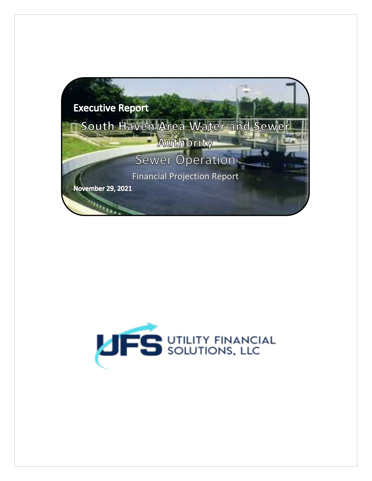

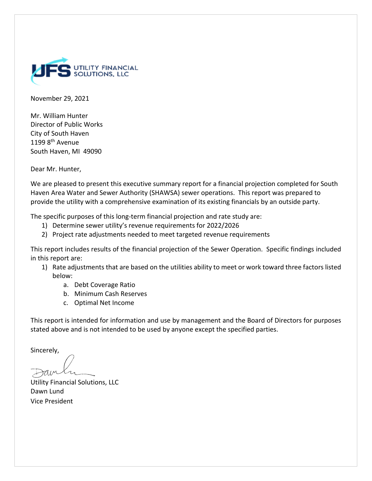

November 29, 2021

Mr. William Hunter Director of Public Works City of South Haven 1199 8<sup>th</sup> Avenue South Haven, MI 49090

Dear Mr. Hunter,

We are pleased to present this executive summary report for a financial projection completed for South Haven Area Water and Sewer Authority (SHAWSA) sewer operations. This report was prepared to provide the utility with a comprehensive examination of its existing financials by an outside party.

The specific purposes of this long-term financial projection and rate study are:

- 1) Determine sewer utility's revenue requirements for 2022/2026
- 2) Project rate adjustments needed to meet targeted revenue requirements

This report includes results of the financial projection of the Sewer Operation. Specific findings included in this report are:

- 1) Rate adjustments that are based on the utilities ability to meet or work toward three factors listed below:
	- a. Debt Coverage Ratio
	- b. Minimum Cash Reserves
	- c. Optimal Net Income

This report is intended for information and use by management and the Board of Directors for purposes stated above and is not intended to be used by anyone except the specified parties.

Sincerely,

Utility Financial Solutions, LLC Dawn Lund Vice President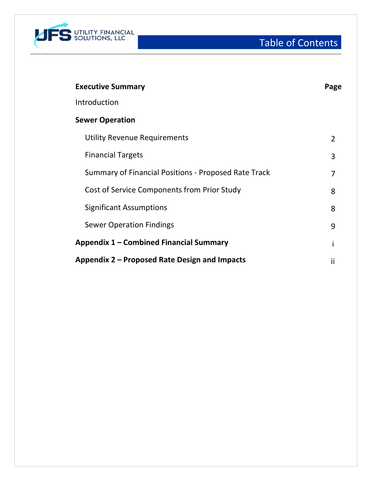

Table of Contents

| <b>Executive Summary</b>                             | Page           |
|------------------------------------------------------|----------------|
| Introduction                                         |                |
| <b>Sewer Operation</b>                               |                |
| <b>Utility Revenue Requirements</b>                  | $\overline{2}$ |
| <b>Financial Targets</b>                             | 3              |
| Summary of Financial Positions - Proposed Rate Track | 7              |
| Cost of Service Components from Prior Study          | 8              |
| <b>Significant Assumptions</b>                       | 8              |
| <b>Sewer Operation Findings</b>                      | 9              |
| Appendix 1 – Combined Financial Summary              |                |
| Appendix 2 – Proposed Rate Design and Impacts        | Ϊİ             |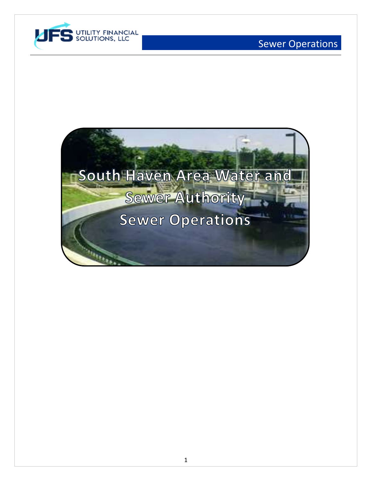

# Sewer Operations

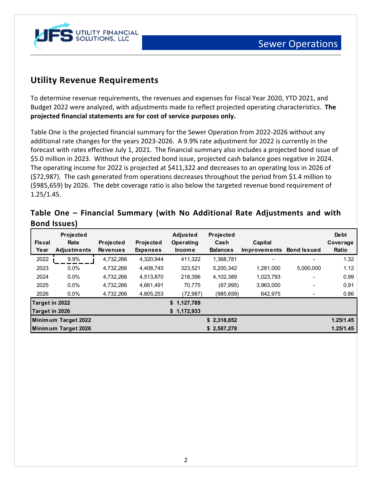

## **Utility Revenue Requirements**

To determine revenue requirements, the revenues and expenses for Fiscal Year 2020, YTD 2021, and Budget 2022 were analyzed, with adjustments made to reflect projected operating characteristics. **The projected financial statements are for cost of service purposes only.**

Table One is the projected financial summary for the Sewer Operation from 2022-2026 without any additional rate changes for the years 2023-2026. A 9.9% rate adjustment for 2022 is currently in the forecast with rates effective July 1, 2021. The financial summary also includes a projected bond issue of \$5.0 million in 2023. Without the projected bond issue, projected cash balance goes negative in 2024. The operating income for 2022 is projected at \$411,322 and decreases to an operating loss in 2026 of (\$72,987). The cash generated from operations decreases throughout the period from \$1.4 million to (\$985,659) by 2026. The debt coverage ratio is also below the targeted revenue bond requirement of 1.25/1.45.

| <b>Fiscal</b><br>Year | <b>Projected</b><br>Rate<br><b>Adjustments</b> | <b>Projected</b><br><b>Revenues</b> | <b>Projected</b><br><b>Expenses</b> | <b>Adjusted</b><br>Operating<br><b>Income</b> | <b>Projected</b><br>Cash<br><b>Balances</b> | Capital<br><b>Improvements</b> | <b>Bond Issued</b> | <b>De bt</b><br>Coverage<br>Ratio |
|-----------------------|------------------------------------------------|-------------------------------------|-------------------------------------|-----------------------------------------------|---------------------------------------------|--------------------------------|--------------------|-----------------------------------|
| 2022                  | 9.9%                                           | 4,732,266                           | 4,320,944                           | 411,322                                       | 1,368,781                                   |                                |                    | 1.32                              |
| 2023                  | $0.0\%$                                        | 4,732,266                           | 4,408,745                           | 323,521                                       | 5,200,342                                   | 1.281.000                      | 5,000,000          | 1.12                              |
| 2024                  | $0.0\%$                                        | 4,732,266                           | 4,513,870                           | 218,396                                       | 4,102,389                                   | 1,023,793                      |                    | 0.99                              |
| 2025                  | $0.0\%$                                        | 4,732,266                           | 4,661,491                           | 70,775                                        | (67, 995)                                   | 3,963,000                      |                    | 0.91                              |
| 2026                  | $0.0\%$                                        | 4,732,266                           | 4,805,253                           | (72, 987)                                     | (985,659)                                   | 642,975                        |                    | 0.86                              |
| Target in 2022        |                                                |                                     |                                     | \$1,127,789                                   |                                             |                                |                    |                                   |
| Target in 2026        |                                                |                                     |                                     | \$1,172,933                                   |                                             |                                |                    |                                   |
|                       | Minimum Target 2022                            |                                     |                                     |                                               | \$2,318,852                                 |                                |                    | 1.25/1.45                         |
|                       | Minimum Target 2026                            |                                     |                                     |                                               | \$2,587,278                                 |                                |                    | 1.25/1.45                         |

| Table One - Financial Summary (with No Additional Rate Adjustments and with |  |  |  |  |
|-----------------------------------------------------------------------------|--|--|--|--|
| <b>Bond Issues)</b>                                                         |  |  |  |  |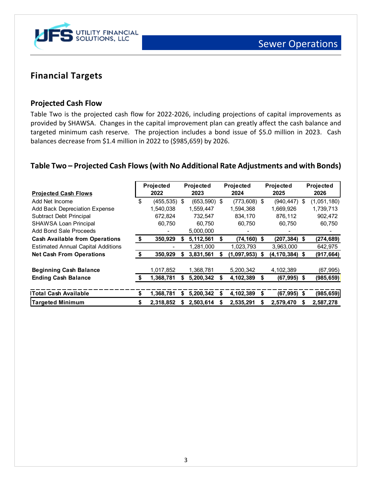

## **Financial Targets**

### **Projected Cash Flow**

Table Two is the projected cash flow for 2022-2026, including projections of capital improvements as provided by SHAWSA. Changes in the capital improvement plan can greatly affect the cash balance and targeted minimum cash reserve. The projection includes a bond issue of \$5.0 million in 2023. Cash balances decrease from \$1.4 million in 2022 to (\$985,659) by 2026.

### **Table Two – Projected Cash Flows(with No Additional Rate Adjustments and with Bonds)**

| <b>Projected Cash Flows</b>               |    | Projected<br>2022 |    | Projected<br>2023 |    | Projected<br>2024 |    | Projected<br>2025  |   | Projected<br>2026 |
|-------------------------------------------|----|-------------------|----|-------------------|----|-------------------|----|--------------------|---|-------------------|
| Add Net Income                            | \$ | $(455, 535)$ \$   |    | $(653,590)$ \$    |    | $(773, 608)$ \$   |    | $(940, 447)$ \$    |   | (1,051,180)       |
| Add Back Depreciation Expense             |    | 1,540,038         |    | 1,559,447         |    | 1,594,368         |    | 1,669,926          |   | 1,739,713         |
| Subtract Debt Principal                   |    | 672,824           |    | 732,547           |    | 834,170           |    | 876,112            |   | 902,472           |
| <b>SHAWSA Loan Principal</b>              |    | 60.750            |    | 60,750            |    | 60,750            |    | 60.750             |   | 60,750            |
| Add Bond Sale Proceeds                    |    |                   |    | 5,000,000         |    |                   |    |                    |   |                   |
| <b>Cash Available from Operations</b>     | S  | 350,929           |    | 5,112,561         | \$ | $(74, 160)$ \$    |    | $(207, 384)$ \$    |   | (274, 689)        |
| <b>Estimated Annual Capital Additions</b> |    |                   |    | 1,281,000         |    | 1,023,793         |    | 3,963,000          |   | 642,975           |
| <b>Net Cash From Operations</b>           |    | 350,929           |    | 3,831,561         |    | $(1,097,953)$ \$  |    | $(4, 170, 384)$ \$ |   | (917, 664)        |
| <b>Beginning Cash Balance</b>             |    | 1,017,852         |    | 1,368,781         |    | 5,200,342         |    | 4,102,389          |   | (67, 995)         |
| <b>Ending Cash Balance</b>                | S  | 1,368,781         |    | 5,200,342         |    | 4,102,389         | S  | $(67, 995)$ \$     |   | (985, 659)        |
|                                           |    |                   |    |                   |    |                   |    |                    |   |                   |
| <b>Total Cash Available</b>               | \$ | 1,368,781         | S  | 5,200,342         | S  | 4,102,389         | S. | $(67, 995)$ \$     |   | (985, 659)        |
| <b>Targeted Minimum</b>                   | \$ | 2,318,852         | S. | 2,503,614         | S  | 2,535,291         | S  | 2,579,470          | S | 2,587,278         |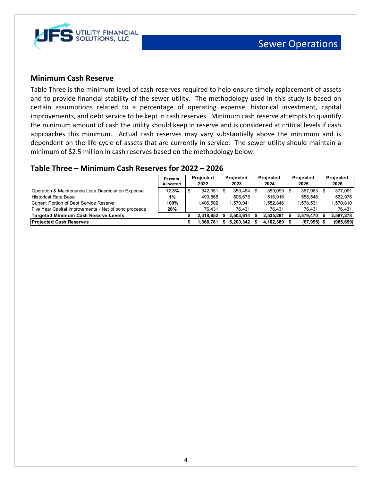

### **Minimum Cash Reserve**

Table Three is the minimum level of cash reserves required to help ensure timely replacement of assets and to provide financial stability of the sewer utility. The methodology used in this study is based on certain assumptions related to a percentage of operating expense, historical investment, capital improvements, and debt service to be kept in cash reserves. Minimum cash reserve attempts to quantify the minimum amount of cash the utility should keep in reserve and is considered at critical levels if cash approaches this minimum. Actual cash reserves may vary substantially above the minimum and is dependent on the life cycle of assets that are currently in service. The sewer utility should maintain a minimum of \$2.5 million in cash reserves based on the methodology below.

### **Table Three – Minimum Cash Reserves for 2022 – 2026**

|                                                       | Percent<br>Allocated | Projected<br>2022 | Projected<br>2023 | <b>Projected</b><br>2024 | Projected<br>2025 | Projected<br>2026 |
|-------------------------------------------------------|----------------------|-------------------|-------------------|--------------------------|-------------------|-------------------|
| Operation & Maintenance Less Depreciation Expense     | 12.3%                | 342.051           | 350.464 \$        | 359.099 \$               | 367.963           | 377.061           |
| <b>Historical Rate Base</b>                           | 1%                   | 493.868           | 506.678           | 516.916                  | 556.546           | 562.976           |
| Current Portion of Debt Service Reserve               | 100%                 | 1.406.502         | 1.570.041         | 1.582.846                | 1.578.531         | 1,570,810         |
| Five Year Capital Improvements - Net of bond proceeds | 20%                  | 76.431            | 76.431            | 76.431                   | 76.431            | 76,431            |
| <b>Targeted Minimum Cash Reserve Levels</b>           |                      | 2.318.852         | 2.503.614         | 2,535,291                | 2,579,470         | 2,587,278         |
| <b>Projected Cash Reserves</b>                        |                      | 1.368.781         | 5.200.342         | 4.102.389                | (67, 995)         | (985, 659)        |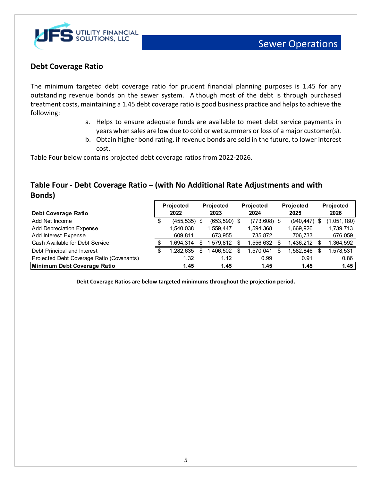

### **Debt Coverage Ratio**

The minimum targeted debt coverage ratio for prudent financial planning purposes is 1.45 for any outstanding revenue bonds on the sewer system. Although most of the debt is through purchased treatment costs, maintaining a 1.45 debt coverage ratio is good business practice and helps to achieve the following:

- a. Helps to ensure adequate funds are available to meet debt service payments in years when sales are low due to cold or wet summers or loss of a major customer(s).
- b. Obtain higher bond rating, if revenue bonds are sold in the future, to lower interest cost.

Table Four below contains projected debt coverage ratios from 2022-2026.

## **Table Four - Debt Coverage Ratio – (with No Additional Rate Adjustments and with Bonds)**

|                                           | <b>Projected</b> |    | Projected       | <b>Projected</b> |                | <b>Projected</b> |            |   | <b>Projected</b> |
|-------------------------------------------|------------------|----|-----------------|------------------|----------------|------------------|------------|---|------------------|
| Debt Coverage Ratio                       | 2022             |    | 2023            |                  | 2024           |                  | 2025       |   | 2026             |
| Add Net Income                            | $(455, 535)$ \$  |    | $(653, 590)$ \$ |                  | $(773,608)$ \$ |                  | (940, 447) |   | (1,051,180)      |
| <b>Add Depreciation Expense</b>           | 1,540,038        |    | 1,559,447       |                  | 1,594,368      |                  | 1,669,926  |   | 1,739,713        |
| Add Interest Expense                      | 609.811          |    | 673.955         |                  | 735,872        |                  | 706,733    |   | 676,059          |
| Cash Available for Debt Service           | .694.314         |    | 1,579,812       |                  | .556,632       |                  | ,436,212   |   | ,364,592         |
| Debt Principal and Interest               | 1,282,635        | \$ | .406,502        |                  | .570,041       |                  | .582,846   | S | ,578,531         |
| Projected Debt Coverage Ratio (Covenants) | 1.32             |    | 1.12            |                  | 0.99           |                  | 0.91       |   | 0.86             |
| Minimum Debt Coverage Ratio               | 1.45             |    | 1.45            |                  | 1.45           |                  | 1.45       |   | 1.45             |

**Debt Coverage Ratios are below targeted minimums throughout the projection period.**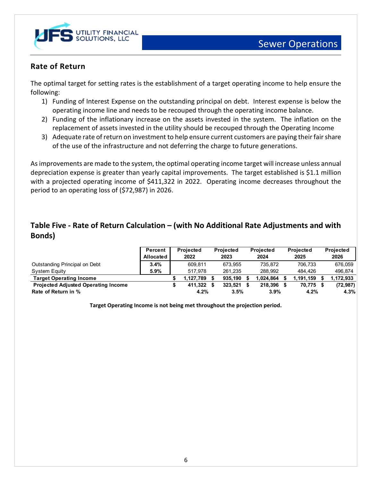

## **Rate of Return**

The optimal target for setting rates is the establishment of a target operating income to help ensure the following:

- 1) Funding of Interest Expense on the outstanding principal on debt. Interest expense is below the operating income line and needs to be recouped through the operating income balance.
- 2) Funding of the inflationary increase on the assets invested in the system. The inflation on the replacement of assets invested in the utility should be recouped through the Operating Income
- 3) Adequate rate of return on investment to help ensure current customers are paying their fair share of the use of the infrastructure and not deferring the charge to future generations.

As improvements are made to the system, the optimal operating income target will increase unless annual depreciation expense is greater than yearly capital improvements. The target established is \$1.1 million with a projected operating income of \$411,322 in 2022. Operating income decreases throughout the period to an operating loss of (\$72,987) in 2026.

## **Table Five - Rate of Return Calculation – (with No Additional Rate Adjustments and with Bonds)**

|                                            | Percent            | <b>Projected</b> | <b>Projected</b> | <b>Projected</b> | <b>Projected</b> | <b>Projected</b> |
|--------------------------------------------|--------------------|------------------|------------------|------------------|------------------|------------------|
|                                            | <b>Allocated I</b> | 2022             | 2023             | 2024             | 2025             | 2026             |
| Outstanding Principal on Debt              | 3.4%               | 609.811          | 673.955          | 735.872          | 706.733          | 676.059          |
| System Equity                              | 5.9%               | 517.978          | 261.235          | 288.992          | 484.426          | 496.874          |
| <b>Target Operating Income</b>             |                    | 1.127.789        | 935.190          | .024.864         | 1,191,159        | 1,172,933        |
| <b>Projected Adjusted Operating Income</b> |                    | 411.322          | 323.521          | 218.396          | 70.775           | (72, 987)        |
| Rate of Return in %                        |                    | 4.2%             | 3.5%             | 3.9%             | 4.2%             | 4.3%             |

**Target Operating Income is not being met throughout the projection period.**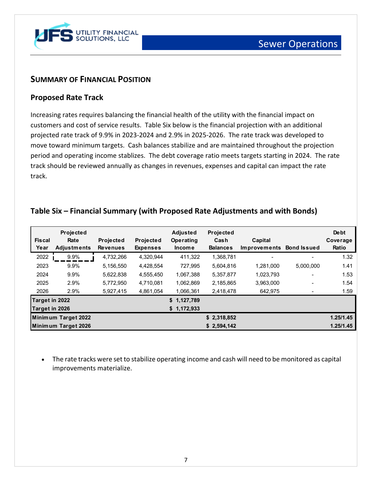

## **SUMMARY OF FINANCIAL POSITION**

### **Proposed Rate Track**

Increasing rates requires balancing the financial health of the utility with the financial impact on customers and cost of service results. Table Six below is the financial projection with an additional projected rate track of 9.9% in 2023-2024 and 2.9% in 2025-2026. The rate track was developed to move toward minimum targets. Cash balances stabilize and are maintained throughout the projection period and operating income stablizes. The debt coverage ratio meets targets starting in 2024. The rate track should be reviewed annually as changes in revenues, expenses and capital can impact the rate track.

| <b>Fiscal</b><br>Year | Projected<br>Rate<br><b>Adjustments</b> | Projected<br><b>Revenues</b> | Projected<br><b>Expenses</b> | <b>Adjusted</b><br>Operating<br><b>Income</b> | Projected<br>Cash<br><b>Balances</b> | Capital<br><b>Improvements</b> | <b>Bond Issued</b>       | Debt<br>Coverage<br>Ratio |
|-----------------------|-----------------------------------------|------------------------------|------------------------------|-----------------------------------------------|--------------------------------------|--------------------------------|--------------------------|---------------------------|
| 2022                  | 9.9%                                    | 4,732,266                    | 4,320,944                    | 411,322                                       | 1,368,781                            |                                |                          | 1.32                      |
| 2023                  | 9.9%                                    | 5,156,550                    | 4,428,554                    | 727.995                                       | 5,604,816                            | 1,281,000                      | 5,000,000                | 1.41                      |
| 2024                  | 9.9%                                    | 5,622,838                    | 4,555,450                    | 1,067,388                                     | 5,357,877                            | 1,023,793                      |                          | 1.53                      |
| 2025                  | 2.9%                                    | 5,772,950                    | 4,710,081                    | 1,062,869                                     | 2,185,865                            | 3,963,000                      | $\overline{\phantom{a}}$ | 1.54                      |
| 2026                  | 2.9%                                    | 5,927,415                    | 4,861,054                    | 1,066,361                                     | 2,418,478                            | 642,975                        |                          | 1.59                      |
| Target in 2022        |                                         |                              |                              | \$1,127,789                                   |                                      |                                |                          |                           |
| Target in 2026        |                                         |                              |                              | \$1,172,933                                   |                                      |                                |                          |                           |
|                       | Minimum Target 2022                     |                              |                              |                                               | \$2,318,852                          |                                |                          | 1.25/1.45                 |
|                       | Minimum Target 2026                     |                              |                              |                                               | \$2,594,142                          |                                |                          | 1.25/1.45                 |

## **Table Six – Financial Summary (with Proposed Rate Adjustments and with Bonds)**

• The rate tracks were set to stabilize operating income and cash will need to be monitored as capital improvements materialize.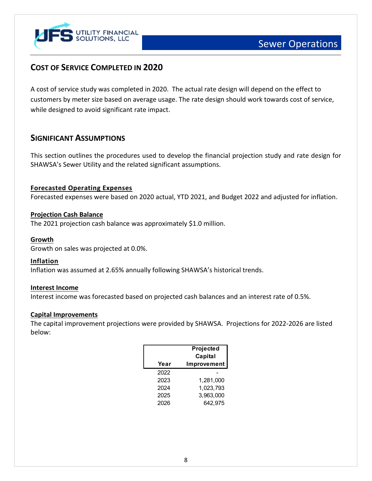

## **COST OF SERVICE COMPLETED IN 2020**

A cost of service study was completed in 2020. The actual rate design will depend on the effect to customers by meter size based on average usage. The rate design should work towards cost of service, while designed to avoid significant rate impact.

## **SIGNIFICANT ASSUMPTIONS**

This section outlines the procedures used to develop the financial projection study and rate design for SHAWSA's Sewer Utility and the related significant assumptions.

### **Forecasted Operating Expenses**

Forecasted expenses were based on 2020 actual, YTD 2021, and Budget 2022 and adjusted for inflation.

#### **Projection Cash Balance**

The 2021 projection cash balance was approximately \$1.0 million.

#### **Growth**

Growth on sales was projected at 0.0%.

#### **Inflation**

Inflation was assumed at 2.65% annually following SHAWSA's historical trends.

#### **Interest Income**

Interest income was forecasted based on projected cash balances and an interest rate of 0.5%.

#### **Capital Improvements**

The capital improvement projections were provided by SHAWSA. Projections for 2022-2026 are listed below:

| Year | Projected<br>Capital<br>Improvement |
|------|-------------------------------------|
| 2022 |                                     |
| 2023 | 1,281,000                           |
| 2024 | 1,023,793                           |
| 2025 | 3,963,000                           |
| 2026 | 642,975                             |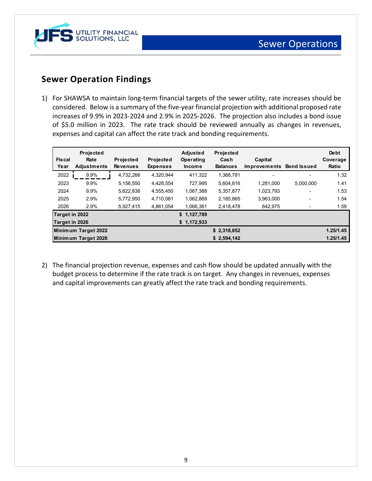

## **Sewer Operation Findings**

1) For SHAWSA to maintain long-term financial targets of the sewer utility, rate increases should be considered. Below is a summary of the five-year financial projection with additional proposed rate increases of 9.9% in 2023-2024 and 2.9% in 2025-2026. The projection also includes a bond issue of \$5.0 million in 2023. The rate track should be reviewed annually as changes in revenues, expenses and capital can affect the rate track and bonding requirements.

| <b>Fiscal</b><br>Year | Projected<br>Rate<br><b>Adjustments</b> | <b>Projected</b><br><b>Revenues</b> | Projected<br><b>Expenses</b> | <b>Adjusted</b><br>Operating<br><b>Income</b> | Projected<br>Cash<br><b>Balances</b> | Capital<br>Improvements Bond Issued |           | <b>De bt</b><br>Coverage<br>Ratio |
|-----------------------|-----------------------------------------|-------------------------------------|------------------------------|-----------------------------------------------|--------------------------------------|-------------------------------------|-----------|-----------------------------------|
| 2022                  | 9.9%                                    | 4,732,266                           | 4,320,944                    | 411,322                                       | 1,368,781                            | ٠                                   | ۰         | 1.32                              |
| 2023                  | 9.9%                                    | 5,156,550                           | 4.428.554                    | 727.995                                       | 5.604.816                            | 1.281.000                           | 5,000,000 | 1.41                              |
| 2024                  | 9.9%                                    | 5,622,838                           | 4,555,450                    | 1,067,388                                     | 5,357,877                            | 1,023,793                           |           | 1.53                              |
| 2025                  | 2.9%                                    | 5,772,950                           | 4.710.081                    | 1,062,869                                     | 2,185,865                            | 3,963,000                           |           | 1.54                              |
| 2026                  | 2.9%                                    | 5,927,415                           | 4,861,054                    | 1,066,361                                     | 2,418,478                            | 642.975                             |           | 1.59                              |
| Target in 2022        |                                         |                                     |                              | \$1,127,789                                   |                                      |                                     |           |                                   |
| Target in 2026        |                                         |                                     |                              | \$1,172,933                                   |                                      |                                     |           |                                   |
|                       | Minimum Target 2022                     |                                     |                              |                                               | \$2,318,852                          |                                     |           | 1.25/1.45                         |
|                       | Minimum Target 2026                     |                                     |                              |                                               | \$2,594,142                          |                                     |           | 1.25/1.45                         |

2) The financial projection revenue, expenses and cash flow should be updated annually with the budget process to determine if the rate track is on target. Any changes in revenues, expenses and capital improvements can greatly affect the rate track and bonding requirements.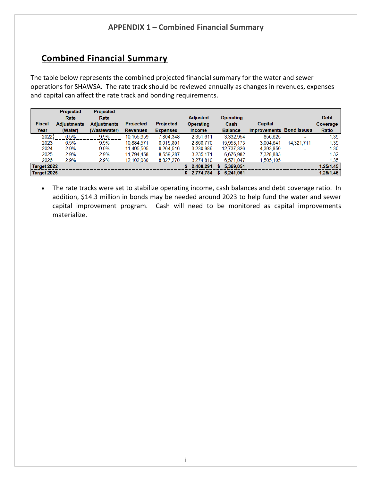## **Combined Financial Summary**

The table below represents the combined projected financial summary for the water and sewer operations for SHAWSA. The rate track should be reviewed annually as changes in revenues, expenses and capital can affect the rate track and bonding requirements.

|               | <b>Projected</b>   | <b>Projected</b>   |                 |                  |                 |                |                                 |                          |             |
|---------------|--------------------|--------------------|-----------------|------------------|-----------------|----------------|---------------------------------|--------------------------|-------------|
|               | Rate               | Rate               |                 |                  | <b>Adjusted</b> | Operating      |                                 |                          | <b>Debt</b> |
| <b>Fiscal</b> | <b>Adjustments</b> | <b>Adjustments</b> | Projected       | <b>Projected</b> | Operating       | Cash           | Capital                         |                          | Coverage    |
| Year          | (Water)            | (Wastewater)       | <b>Revenues</b> | <b>Expenses</b>  | <b>Income</b>   | <b>Balance</b> | <b>Improvements Bond Issues</b> |                          | Ratio       |
| 2022          | 6.5%               | 9.9%               | 10,155,959      | 7,804,348        | 2,351,611       | 3.332.954      | 856.625                         |                          | 1.39        |
| 2023          | 6.5%               | 9.9%               | 10.884.571      | 8.015.801        | 2.868.770       | 15.953.173     | 3.004.641                       | 14.321.711               | 1.39        |
| 2024          | 2.9%               | 9.9%               | 11,495,505      | 8.264.516        | 3.230.989       | 12,737,326     | 4,393,850                       | $\overline{\phantom{a}}$ | 1.30        |
| 2025          | 2.9%               | 2.9%               | 11,794,458      | 8,559,287        | 3,235,171       | 6,676,982      | 7,328,883                       |                          | 1.32        |
| 2026          | 2.9%               | 2.9%               | 12,102,080      | 8,827,270        | 3.274.810       | 6.571.047      | 1.505.105                       |                          | 1.35        |
| Target 2022   |                    |                    |                 |                  | 2.408.291<br>S  | 5,369,051<br>s |                                 |                          | 1.25/1.45   |
| Target 2026   |                    |                    |                 |                  | 2,774,784<br>S  | 6.241.061      |                                 |                          | 1.25/1.45   |

• The rate tracks were set to stabilize operating income, cash balances and debt coverage ratio. In addition, \$14.3 million in bonds may be needed around 2023 to help fund the water and sewer capital improvement program. Cash will need to be monitored as capital improvements materialize.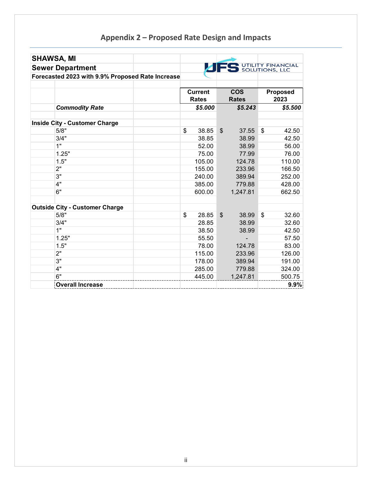# **Appendix 2 – Proposed Rate Design and Impacts**

| <b>SHAWSA, MI</b>                                |                                |                           |                            |                         |
|--------------------------------------------------|--------------------------------|---------------------------|----------------------------|-------------------------|
| <b>Sewer Department</b>                          |                                |                           | UTILITY FINANCIAL          |                         |
| Forecasted 2023 with 9.9% Proposed Rate Increase |                                |                           |                            |                         |
|                                                  | <b>Current</b><br><b>Rates</b> |                           | <b>COS</b><br><b>Rates</b> | <b>Proposed</b><br>2023 |
| <b>Commodity Rate</b>                            | \$5.000                        |                           | \$5.243                    | \$5.500                 |
| <b>Inside City - Customer Charge</b>             |                                |                           |                            |                         |
| 5/8"                                             | \$<br>38.85                    | $\boldsymbol{\mathsf{S}}$ | 37.55                      | \$<br>42.50             |
| 3/4"                                             | 38.85                          |                           | 38.99                      | 42.50                   |
| 1"                                               | 52.00                          |                           | 38.99                      | 56.00                   |
| 1.25"                                            | 75.00                          |                           | 77.99                      | 76.00                   |
| 1.5"                                             | 105.00                         |                           | 124.78                     | 110.00                  |
| 2"                                               | 155.00                         |                           | 233.96                     | 166.50                  |
| 3"                                               | 240.00                         |                           | 389.94                     | 252.00                  |
| 4"                                               | 385.00                         |                           | 779.88                     | 428.00                  |
| 6"                                               | 600.00                         |                           | 1,247.81                   | 662.50                  |
| <b>Outside City - Customer Charge</b>            |                                |                           |                            |                         |
| 5/8"                                             | \$<br>28.85                    | \$                        | 38.99                      | \$<br>32.60             |
| 3/4"                                             | 28.85                          |                           | 38.99                      | 32.60                   |
| 1"                                               | 38.50                          |                           | 38.99                      | 42.50                   |
| 1.25"                                            | 55.50                          |                           |                            | 57.50                   |
| 1.5"                                             | 78.00                          |                           | 124.78                     | 83.00                   |
| 2"                                               | 115.00                         |                           | 233.96                     | 126.00                  |
| 3"                                               | 178.00                         |                           | 389.94                     | 191.00                  |
| 4"                                               | 285.00                         |                           | 779.88                     | 324.00                  |
| 6"                                               | 445.00                         |                           | 1,247.81                   | 500.75                  |
| <b>Overall Increase</b>                          |                                |                           |                            | 9.9%                    |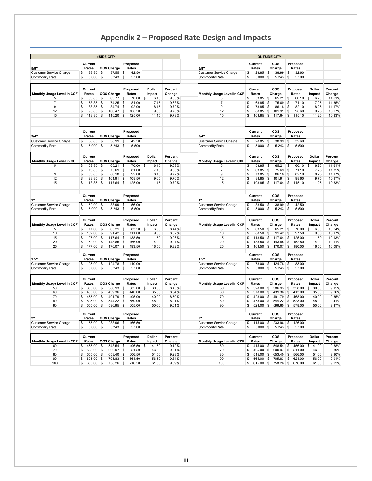# **Appendix 2 – Proposed Rate Design and Impacts**

| <b>INSIDE CITY</b>              |          |                  |    |                            |                    |                   |                         |                   |      | <b>OUTSIDE CITY</b>             |                          |                         |               |                 |                             |                      |                   |  |  |
|---------------------------------|----------|------------------|----|----------------------------|--------------------|-------------------|-------------------------|-------------------|------|---------------------------------|--------------------------|-------------------------|---------------|-----------------|-----------------------------|----------------------|-------------------|--|--|
|                                 |          | Current          |    |                            |                    | Proposed          |                         |                   |      |                                 |                          | Current                 |               | cos             | Proposed                    |                      |                   |  |  |
| 5/8"                            |          | Rates            |    | <b>COS Charge</b>          |                    | Rates             |                         |                   | 5/8" |                                 |                          | Rates                   |               | Charge          | Rates                       |                      |                   |  |  |
| <b>Customer Service Charge</b>  | \$       | 38.85            | \$ | 37.55                      | \$                 | 42.50             |                         |                   |      | <b>Customer Service Charge</b>  | \$                       | 28.85                   | \$            | 38.99           | \$<br>32.60                 |                      |                   |  |  |
| Commodity Rate                  | \$       | 5.000            | \$ | 5.243                      | \$                 | 5.500             |                         |                   |      | <b>Commodity Rate</b>           | \$                       | 5.000                   | \$            | 5.243           | \$<br>5.500                 |                      |                   |  |  |
|                                 |          |                  |    |                            |                    |                   |                         |                   |      |                                 |                          |                         |               |                 |                             |                      |                   |  |  |
| Monthly Usage Level in CCF      |          | Current<br>Rates |    | COS Charge                 |                    | Proposed<br>Rates | <b>Dollar</b><br>Impact | Percent<br>Change |      | Monthly Usage Level in CCF      |                          | Current<br>Rates        |               | COS<br>Charge   | Proposed<br>Rates           | Dollar<br>Impact     | Percent<br>Change |  |  |
| 5                               | \$       | 63.85            | \$ | 63.77                      | \$                 | 70.00             | 6.15<br>\$              | 9.63%             |      | 5                               | \$                       | 53.85                   | \$            | 65.21           | \$<br>60.10                 | \$<br>6.25           | 11.61%            |  |  |
| $\overline{7}$                  | \$       | 73.85            | \$ | 74.25                      | \$                 | 81.00             | 7.15                    | 9.68%             |      | $\overline{7}$                  | \$                       | 63.85                   | \$            | 75.69           | \$<br>71.10                 | 7.25                 | 11.35%            |  |  |
| 9                               | \$       | 83.85            | \$ | 84.74                      | \$                 | 92.00             | 8.15                    | 9.72%             |      | 9                               | \$                       | 73.85                   | \$            | 86.18           | $\mathfrak s$<br>82.10      | 8.25                 | 11.17%            |  |  |
| 12                              | \$       | 98.85            | \$ | 100.47                     | \$                 | 108.50            | 9.65                    | 9.76%             |      | 12                              | \$.                      | 88.85                   | \$            | 101.91          | \$<br>98.60                 | 9.75                 | 10.97%            |  |  |
| 15                              | \$       | 113.85           | \$ | 116.20                     | \$                 | 125.00            | 11.15                   | 9.79%             |      | 15                              | \$                       | 103.85                  | $\sqrt{3}$    | 117.64          | \$<br>115.10                | 11.25                | 10.83%            |  |  |
|                                 |          |                  |    |                            |                    |                   |                         |                   |      |                                 |                          |                         |               |                 |                             |                      |                   |  |  |
|                                 |          | Current          |    |                            |                    | Proposed          |                         |                   |      |                                 |                          | Current                 |               | cos             | Proposed                    |                      |                   |  |  |
| 3/4"                            |          | Rates            |    | COS Charge                 |                    | Rates             |                         |                   | 3/4" |                                 |                          | <b>Rates</b>            |               | Charge          | Rates                       |                      |                   |  |  |
| <b>Customer Service Charge</b>  | \$       | 38.85            | \$ | 38.99                      | \$                 | 42.50             |                         |                   |      | <b>Customer Service Charge</b>  | \$                       | 28.85                   | \$            | 38.99           | 32.60<br>\$                 |                      |                   |  |  |
| <b>Commodity Rate</b>           | \$       | 5.000            | \$ | 5.243                      | \$                 | 5.500             |                         |                   |      | <b>Commodity Rate</b>           | \$                       | 5.000                   | \$            | 5.243           | \$<br>5.500                 |                      |                   |  |  |
|                                 |          | Current          |    |                            |                    | Proposed          | Dollar                  | Percent           |      |                                 |                          | Current                 |               | cos             | Proposed                    | Dollar               | Percent           |  |  |
| Monthly Usage Level in CCF<br>5 |          | Rates<br>63.85   | \$ | COS Charge<br>65.21        | \$                 | Rates<br>70.00    | Impact<br>\$<br>6.15    | Change<br>9.63%   |      | Monthly Usage Level in CCF<br>5 |                          | <b>Rates</b><br>53.85   | \$            | Charge<br>65.21 | Rates<br>\$<br>60.10        | Impact<br>\$<br>6.25 | Change<br>11.61%  |  |  |
| $\overline{7}$                  | \$<br>\$ | 73.85            | \$ | 75.69                      | \$                 | 81.00             | 7.15                    | 9.68%             |      | $\overline{7}$                  | \$<br>\$                 | 63.85                   | \$            | 75.69           | 71.10<br>$\mathbf{\hat{z}}$ | 7.25                 | 11.35%            |  |  |
| 9                               | \$       | 83.85            | \$ | 86.18                      | \$                 | 92.00             | 8.15                    | 9.72%             |      | 9                               | \$                       | 73.85                   | \$            | 86.18           | $\mathsf{s}$<br>82.10       | 8.25                 | 11.17%            |  |  |
| 12                              | \$       | 98.85            | \$ | 101.91                     | \$                 | 108.50            | 9.65                    | 9.76%             |      | 12                              | \$                       | 88.85                   | \$            | 101.91          | \$<br>98.60                 | 9.75                 | 10.97%            |  |  |
| 15                              | \$       | 113.85           | \$ | 117.64                     | \$                 | 125.00            | 11.15                   | 9.79%             |      | 15                              | \$                       | $103.85$ \$             |               | 117.64          | \$<br>115.10                | 11.25                | 10.83%            |  |  |
|                                 |          |                  |    |                            |                    |                   |                         |                   |      |                                 |                          |                         |               |                 |                             |                      |                   |  |  |
|                                 |          | Current<br>Rates |    | <b>COS Charge</b>          |                    | Proposed<br>Rates |                         |                   | 1"   |                                 |                          | Current<br>Rates        |               | COS<br>Charge   | Proposed<br>Rates           |                      |                   |  |  |
| <b>Customer Service Charge</b>  | \$       | 52.00            | \$ | 38.99                      | \$                 | 56.00             |                         |                   |      | <b>Customer Service Charge</b>  | \$                       | 38.50                   | \$            | 38.99           | 42.50<br>\$                 |                      |                   |  |  |
| <b>Commodity Rate</b>           | \$       | 5.000            | \$ | 5.243                      | \$                 | 5.500             |                         |                   |      | <b>Commodity Rate</b>           | \$                       | 5.000                   | \$            | 5.243           | \$<br>5.500                 |                      |                   |  |  |
|                                 |          |                  |    |                            |                    |                   |                         |                   |      |                                 |                          |                         |               |                 |                             |                      |                   |  |  |
|                                 |          | Current<br>Rates |    |                            |                    | Proposed          | Dollar                  | Percent           |      |                                 |                          | Current<br><b>Rates</b> |               | cos             | Proposed                    | Dollar               | Percent           |  |  |
| Monthly Usage Level in CCF<br>5 |          | 77.00            | \$ | <b>COS Charge</b><br>65.21 | \$                 | Rates<br>83.50    | Impact<br>\$<br>6.50    | Change<br>8.44%   |      | Monthly Usage Level in CCF<br>5 | \$                       | 63.50                   | \$            | Charge<br>65.21 | Rates<br>\$<br>70.00        | Impact<br>\$<br>6.50 | Change<br>10.24%  |  |  |
| 10                              | \$<br>\$ | 102.00           | \$ | 91.42                      | $\mathbf{\hat{S}}$ | 111.00            | 9.00                    | 8.82%             |      | 10                              | $\mathfrak{L}$           | 88.50                   | \$            | 91.42           | \$<br>97.50                 | 9.00                 | 10.17%            |  |  |
| 15                              | \$       | 127.00           | \$ | 117.64                     | \$                 | 138.50            | 11.50                   | 9.06%             |      | 15                              | \$                       | 113.50                  | \$            | 117.64          | $\mathfrak{s}$<br>125.00    | 11.50                | 10.13%            |  |  |
| 20                              | \$       | 152.00           | \$ | 143.85                     | \$                 | 166.00            | 14.00                   | 9.21%             |      | 20                              | \$                       | 138.50                  | \$            | 143.85          | \$<br>152.50                | 14.00                | 10.11%            |  |  |
| 25                              | \$       | 177.00           | \$ | 170.07                     | \$                 | 193.50            | 16.50                   | 9.32%             |      | 25                              | \$                       | 163.50                  | \$            | 170.07          | \$<br>180.00                | 16.50                | 10.09%            |  |  |
|                                 |          | Current          |    |                            |                    | Proposed          |                         |                   |      |                                 |                          | Current                 |               | cos             | Proposed                    |                      |                   |  |  |
| 1.5"                            |          | Rates            |    | <b>COS Charge</b>          |                    | Rates             |                         |                   | 1.5" |                                 |                          | <b>Rates</b>            |               | Charge          | Rates                       |                      |                   |  |  |
| <b>Customer Service Charge</b>  | \$       | 105.00           | \$ | 124.78                     | \$                 | 110.00            |                         |                   |      | <b>Customer Service Charge</b>  | \$                       | 78.00                   | \$            | 124.78          | \$<br>83.00                 |                      |                   |  |  |
| Commodity Rate                  | S        | 5.000            | \$ | 5.243                      | \$                 | 5.500             |                         |                   |      | <b>Commodity Rate</b>           | \$                       | 5.000                   | \$            | 5.243           | 5.500<br>\$                 |                      |                   |  |  |
|                                 |          | Current          |    |                            |                    | Proposed          | Dollar                  | Percent           |      |                                 |                          | Current                 |               | COS             | Proposed                    | Dollar               | Percent           |  |  |
| Monthly Usage Level in CCF      |          | Rates            |    | COS Charge                 |                    | Rates             | Impact                  | Change            |      | Monthly Usage Level in CCF      |                          | Rates                   |               | Charge          | Rates                       | Impact               | Change            |  |  |
| 50                              | \$       | 355.00           | \$ | 386.93                     | \$                 | 385.00            | 30.00<br>\$             | 8.45%             |      | 50                              | \$                       | 328.00                  | \$            | 386.93          | \$<br>358.00                | \$<br>30.00          | 9.15%             |  |  |
| 60                              | \$<br>£. | 405.00           | \$ | 439.36                     | \$                 | 440.00            | 35.00                   | 8.64%             |      | 60                              | \$<br>$\mathbf{\hat{z}}$ | 378.00                  | \$            | 439.36          | \$<br>413.00                | 35.00                | 9.26%             |  |  |
| 70<br>80                        |          | 455.00           | \$ | 491.79                     | \$                 | 495.00            | 40.00                   | 8.79%<br>8.91%    |      | 70<br>80                        |                          | 428.00                  | $\mathfrak s$ | 491.79          | \$<br>468.00                | 40.00                | 9.35%<br>9.41%    |  |  |
| 90                              | \$       | 505.00           | \$ | 544.22<br>596.65           | \$                 | 550.00<br>605.00  | 45.00<br>50.00          | 9.01%             |      | 90                              | \$                       | 478.00                  | \$<br>\$      | 544.22          | \$<br>523.00                | 45.00<br>50.00       | 9.47%             |  |  |
|                                 | \$       | 555.00           | \$ |                            | \$                 |                   |                         |                   |      |                                 | \$                       | 528.00                  |               | 596.65          | \$<br>578.00                |                      |                   |  |  |
|                                 |          | Current<br>Rates |    | <b>COS Charge</b>          |                    | Proposed<br>Rates |                         |                   | 2"   |                                 |                          | Current<br>Rates        |               | cos<br>Charge   | Proposed<br>Rates           |                      |                   |  |  |
| <b>Customer Service Charge</b>  | \$       | 155.00           | \$ | 233.96                     | \$                 | 166.50            |                         |                   |      | <b>Customer Service Charge</b>  | \$                       | 115.00                  | \$            | 233.96          | \$<br>126.00                |                      |                   |  |  |
| <b>Commodity Rate</b>           | \$       | 5.000            | \$ | 5.243                      | \$                 | 5.500             |                         |                   |      | <b>Commodity Rate</b>           | \$                       | 5.000                   | \$            | 5.243           | 5.500<br>\$                 |                      |                   |  |  |
|                                 |          | Current          |    |                            |                    | Proposed          | Dollar                  | Percent           |      |                                 |                          | Current                 |               | cos             | Proposed                    | Dollar               | Percent           |  |  |
| Monthly Usage Level in CCF      |          | Rates            |    | COS Charge                 |                    | Rates             | Impact                  | Change            |      | Monthly Usage Level in CCF      |                          | Rates                   |               | Charge          | Rates                       | Impact               | Change            |  |  |
| 60                              | \$       | 455.00           | \$ | 548.54                     | \$                 | 496.50            | 41.50<br>\$             | 9.12%             |      | 60                              | \$                       | 415.00                  | \$            | 548.54          | \$<br>456.00                | \$41.00              | 9.88%             |  |  |
| 70                              | \$       | 505.00           | \$ | 600.97                     | \$                 | 551.50            | 46.50                   | 9.21%             |      | 70                              | \$                       | 465.00                  | \$            | 600.97          | \$<br>511.00                | 46.00                | 9.89%             |  |  |
| 80                              | \$       | 555.00           | \$ | 653.40                     | \$                 | 606.50            | 51.50                   | 9.28%             |      | 80                              | \$                       | 515.00                  | \$            | 653.40          | \$<br>566.00                | 51.00                | 9.90%             |  |  |
| 90                              | \$       | 605.00           | \$ | 705.83                     | \$                 | 661.50            | 56.50                   | 9.34%             |      | 90                              | \$                       | 565.00                  | \$            | 705.83          | \$<br>621.00                | 56.00                | 9.91%             |  |  |
| 100                             | \$       | 655.00           | \$ | 758.26                     | \$                 | 716.50            | 61.50                   | 9.39%             |      | 100                             | \$                       | 615.00                  | \$            | 758.26          | \$<br>676.00                | 61.00                | 9.92%             |  |  |